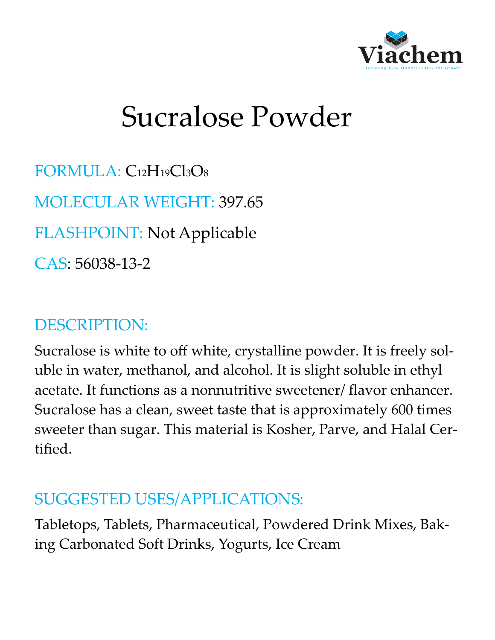

# Sucralose Powder

FORMULA: C12H19Cl3O<sup>8</sup> MOLECULAR WEIGHT: 397.65 FLASHPOINT: Not Applicable CAS: 56038-13-2

#### DESCRIPTION:

Sucralose is white to off white, crystalline powder. It is freely soluble in water, methanol, and alcohol. It is slight soluble in ethyl acetate. It functions as a nonnutritive sweetener/ flavor enhancer. Sucralose has a clean, sweet taste that is approximately 600 times sweeter than sugar. This material is Kosher, Parve, and Halal Certified.

#### SUGGESTED USES/APPLICATIONS:

Tabletops, Tablets, Pharmaceutical, Powdered Drink Mixes, Baking Carbonated Soft Drinks, Yogurts, Ice Cream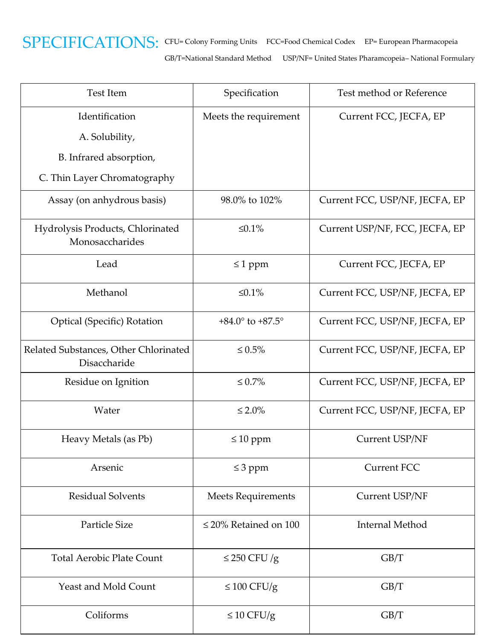

GB/T=National Standard Method USP/NF= United States Pharamcopeia– National Formulary

| <b>Test Item</b>                                      | Specification                      | Test method or Reference       |
|-------------------------------------------------------|------------------------------------|--------------------------------|
| Identification                                        | Meets the requirement              | Current FCC, JECFA, EP         |
| A. Solubility,                                        |                                    |                                |
| B. Infrared absorption,                               |                                    |                                |
| C. Thin Layer Chromatography                          |                                    |                                |
| Assay (on anhydrous basis)                            | 98.0% to 102%                      | Current FCC, USP/NF, JECFA, EP |
| Hydrolysis Products, Chlorinated<br>Monosaccharides   | $\leq 0.1\%$                       | Current USP/NF, FCC, JECFA, EP |
| Lead                                                  | $\leq 1$ ppm                       | Current FCC, JECFA, EP         |
| Methanol                                              | $\leq 0.1\%$                       | Current FCC, USP/NF, JECFA, EP |
| <b>Optical (Specific) Rotation</b>                    | $+84.0^{\circ}$ to $+87.5^{\circ}$ | Current FCC, USP/NF, JECFA, EP |
| Related Substances, Other Chlorinated<br>Disaccharide | $\leq 0.5\%$                       | Current FCC, USP/NF, JECFA, EP |
| Residue on Ignition                                   | $\leq 0.7\%$                       | Current FCC, USP/NF, JECFA, EP |
| Water                                                 | $\leq 2.0\%$                       | Current FCC, USP/NF, JECFA, EP |
| Heavy Metals (as Pb)                                  | $\leq 10$ ppm                      | Current USP/NF                 |
| Arsenic                                               | $\leq$ 3 ppm                       | <b>Current FCC</b>             |
| <b>Residual Solvents</b>                              | <b>Meets Requirements</b>          | Current USP/NF                 |
| Particle Size                                         | $\leq$ 20% Retained on 100         | Internal Method                |
| <b>Total Aerobic Plate Count</b>                      | $\leq$ 250 CFU/g                   | GB/T                           |
| <b>Yeast and Mold Count</b>                           | $\leq 100$ CFU/g                   | GB/T                           |
| Coliforms                                             | $\leq 10$ CFU/g                    | GB/T                           |